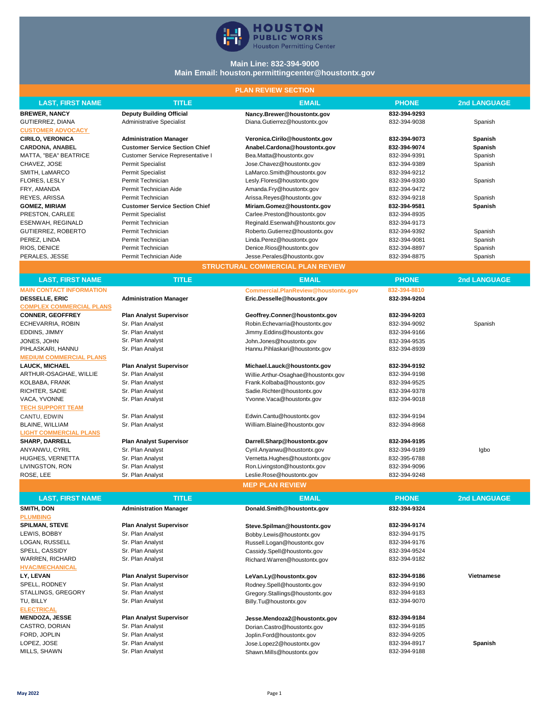

## **Main Line: 832-394-9000 Main Email: houston.permittingcenter@houstontx.gov**

#### **PLAN REVIEW SECTION**

| <b>PLAN REVIEW SEUTION</b>      |                                       |                                          |              |                     |
|---------------------------------|---------------------------------------|------------------------------------------|--------------|---------------------|
| <b>LAST, FIRST NAME</b>         | <b>TITLE</b>                          | <b>EMAIL</b>                             | <b>PHONE</b> | <b>2nd LANGUAGE</b> |
| <b>BREWER, NANCY</b>            | <b>Deputy Building Official</b>       | Nancy.Brewer@houstontx.gov               | 832-394-9293 |                     |
| GUTIERREZ, DIANA                | <b>Administrative Specialist</b>      | Diana.Gutierrez@houstontx.gov            | 832-394-9038 | Spanish             |
| <b>CUSTOMER ADVOCACY</b>        |                                       |                                          |              |                     |
| <b>CIRILO, VERONICA</b>         | <b>Administration Manager</b>         | Veronica.Cirilo@houstontx.gov            | 832-394-9073 | Spanish             |
| <b>CARDONA, ANABEL</b>          | <b>Customer Service Section Chief</b> | Anabel.Cardona@houstontx.gov             | 832-394-9074 | Spanish             |
| MATTA, "BEA" BEATRICE           | Customer Service Representative I     | Bea.Matta@houstontx.gov                  | 832-394-9391 | Spanish             |
| CHAVEZ, JOSE                    | <b>Permit Specialist</b>              | Jose.Chavez@houstontx.gov                | 832-394-9389 | Spanish             |
| SMITH, LaMARCO                  | <b>Permit Specialist</b>              | LaMarco.Smith@houstontx.gov              | 832-394-9212 |                     |
| <b>FLORES, LESLY</b>            | Permit Technician                     | Lesly.Flores@houstontx.gov               | 832-394-9330 | Spanish             |
| FRY, AMANDA                     | Permit Technician Aide                | Amanda.Fry@houstontx.gov                 | 832-394-9472 |                     |
| REYES, ARISSA                   | Permit Technician                     | Arissa.Reyes@houstontx.gov               | 832-394-9218 | Spanish             |
| <b>GOMEZ, MIRIAM</b>            | <b>Customer Service Section Chief</b> | Miriam.Gomez@houstontx.gov               | 832-394-9581 | Spanish             |
| PRESTON, CARLEE                 | <b>Permit Specialist</b>              | Carlee.Preston@houstontx.gov             | 832-394-8935 |                     |
| ESENWAH, REGINALD               | Permit Technician                     | Reginald.Esenwah@houstontx.gov           | 832-394-9173 |                     |
| <b>GUTIERREZ, ROBERTO</b>       | Permit Technician                     | Roberto.Gutierrez@houstontx.gov          | 832-394-9392 | Spanish             |
| PEREZ, LINDA                    | Permit Technician                     | Linda.Perez@houstontx.gov                | 832-394-9081 | Spanish             |
| RIOS, DENICE                    | Permit Technician                     | Denice.Rios@houstontx.gov                | 832-394-8897 | Spanish             |
| PERALES, JESSE                  | Permit Technician Aide                | Jesse.Perales@houstontx.gov              | 832-394-8875 | Spanish             |
|                                 |                                       | <b>STRUCTURAL COMMERCIAL PLAN REVIEW</b> |              |                     |
| <b>LAST, FIRST NAME</b>         | <b>TITLE</b>                          | <b>EMAIL</b>                             | <b>PHONE</b> | <b>2nd LANGUAGE</b> |
| <b>MAIN CONTACT INFORMATION</b> |                                       | Commercial.PlanReview@houstontx.gov      | 832-394-8810 |                     |
| <b>DESSELLE, ERIC</b>           | <b>Administration Manager</b>         | Eric.Desselle@houstontx.gov              | 832-394-9204 |                     |
| <b>COMPLEX COMMERCIAL PLANS</b> |                                       |                                          |              |                     |
| <b>CONNER, GEOFFREY</b>         | <b>Plan Analyst Supervisor</b>        | Geoffrey.Conner@houstontx.gov            | 832-394-9203 |                     |
| ECHEVARRIA, ROBIN               | Sr. Plan Analyst                      | Robin.Echevarria@houstontx.gov           | 832-394-9092 | Spanish             |
| EDDINS, JIMMY                   | Sr. Plan Analyst                      | Jimmy.Eddins@houstontx.gov               | 832-394-9166 |                     |
| JONES, JOHN                     | Sr. Plan Analyst                      | John.Jones@houstontx.gov                 | 832-394-9535 |                     |
| PIHLASKARI, HANNU               | Sr. Plan Analyst                      | Hannu.Pihlaskari@houstontx.gov           | 832-394-8939 |                     |
| <b>MEDIUM COMMERCIAL PLANS</b>  |                                       |                                          |              |                     |
| <b>LAUCK, MICHAEL</b>           | <b>Plan Analyst Supervisor</b>        | Michael.Lauck@houstontx.gov              | 832-394-9192 |                     |
| ARTHUR-OSAGHAE, WILLIE          | Sr. Plan Analyst                      | Willie.Arthur-Osaghae@houstontx.gov      | 832-394-9198 |                     |
| KOLBABA, FRANK                  | Sr. Plan Analyst                      | Frank.Kolbaba@houstontx.gov              | 832-394-9525 |                     |
| RICHTER, SADIE                  | Sr. Plan Analyst                      | Sadie.Richter@houstontx.gov              | 832-394-9378 |                     |
| VACA, YVONNE                    | Sr. Plan Analyst                      | Yvonne.Vaca@houstontx.gov                | 832-394-9018 |                     |
| <b>TECH SUPPORT TEAM</b>        |                                       |                                          |              |                     |
| CANTU, EDWIN                    | Sr. Plan Analyst                      | Edwin.Cantu@houstontx.gov                | 832-394-9194 |                     |
| <b>BLAINE, WILLIAM</b>          | Sr. Plan Analyst                      | William.Blaine@houstontx.gov             | 832-394-8968 |                     |
| <b>LIGHT COMMERCIAL PLANS</b>   |                                       |                                          |              |                     |
| <b>SHARP, DARRELL</b>           | <b>Plan Analyst Supervisor</b>        | Darrell.Sharp@houstontx.gov              | 832-394-9195 |                     |
| ANYANWU, CYRIL                  | Sr. Plan Analyst                      | Cyril.Anyanwu@houstontx.gov              | 832-394-9189 | Igbo                |
| HUGHES, VERNETTA                | Sr. Plan Analyst                      | Vernetta.Hughes@houstontx.gov            | 832-395-6788 |                     |
| LIVINGSTON, RON                 | Sr. Plan Analyst                      | Ron.Livingston@houstontx.gov             | 832-394-9096 |                     |
| ROSE, LEE                       | Sr. Plan Analyst                      | Leslie.Rose@houstontx.gov                | 832-394-9248 |                     |
|                                 |                                       | <b>MEP PLAN REVIEW</b>                   |              |                     |
| <b>LAST, FIRST NAME</b>         | <b>TITLE</b>                          | <b>EMAIL</b>                             | <b>PHONE</b> | 2nd LANGUAGE        |
|                                 | <b>Administration Manager</b>         |                                          | 832-394-9324 |                     |
| SMITH, DON<br><b>PLUMBING</b>   |                                       | Donald.Smith@houstontx.gov               |              |                     |
| <b>SPILMAN, STEVE</b>           | <b>Plan Analyst Supervisor</b>        | Steve.Spilman@houstontx.gov              | 832-394-9174 |                     |
| LEWIS, BOBBY                    | Sr. Plan Analyst                      | Bobby.Lewis@houstontx.gov                | 832-394-9175 |                     |
| LOGAN, RUSSELL                  | Sr. Plan Analyst                      | Russell.Logan@houstontx.gov              | 832-394-9176 |                     |
| SPELL, CASSIDY                  | Sr. Plan Analyst                      | Cassidy.Spell@houstontx.gov              | 832-394-9524 |                     |
| WARREN, RICHARD                 | Sr. Plan Analyst                      | Richard.Warren@houstontx.gov             | 832-394-9182 |                     |
| <b>HVAC/MECHANICAL</b>          |                                       |                                          |              |                     |
| LY, LEVAN                       | <b>Plan Analyst Supervisor</b>        | LeVan.Ly@houstontx.gov                   | 832-394-9186 | Vietnamese          |
| SPELL, RODNEY                   | Sr. Plan Analyst                      | Rodney.Spell@houstontx.gov               | 832-394-9190 |                     |
| STALLINGS, GREGORY              | Sr. Plan Analyst                      | Gregory.Stallings@houstontx.gov          | 832-394-9183 |                     |
| TU, BILLY                       | Sr. Plan Analyst                      | Billy.Tu@houstontx.gov                   | 832-394-9070 |                     |
| <b>ELECTRICAL</b>               |                                       |                                          |              |                     |
| <b>MENDOZA, JESSE</b>           | <b>Plan Analyst Supervisor</b>        | Jesse.Mendoza2@houstontx.gov             | 832-394-9184 |                     |
| CASTRO, DORIAN                  | Sr. Plan Analyst                      | Dorian.Castro@houstontx.gov              | 832-394-9185 |                     |
| FORD, JOPLIN                    | Sr. Plan Analyst                      | Joplin.Ford@houstontx.gov                | 832-394-9205 |                     |
| LOPEZ, JOSE                     | Sr. Plan Analyst                      | Jose.Lopez2@houstontx.gov                | 832-394-8917 | Spanish             |
| MILLS, SHAWN                    | Sr. Plan Analyst                      | Shawn.Mills@houstontx.gov                | 832-394-9188 |                     |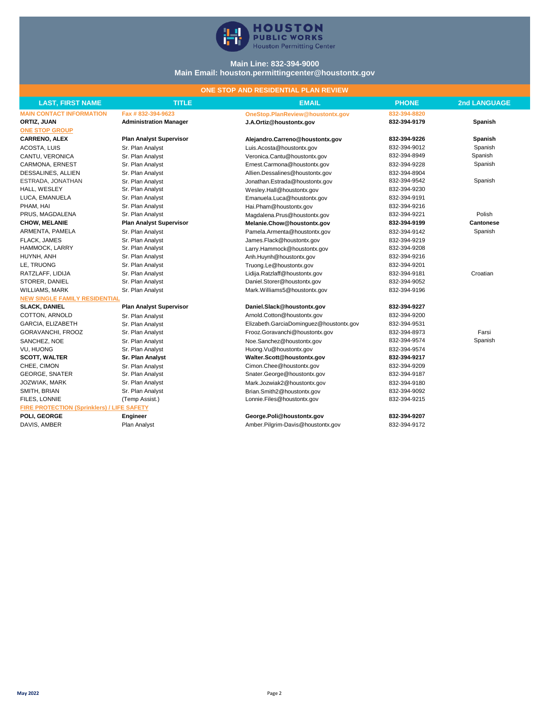

## **Main Line: 832-394-9000 Main Email: houston.permittingcenter@houstontx.gov**

# **ONE STOP AND RESIDENTIAL PLAN REVIEW**

| <b>LAST, FIRST NAME</b>                           | <b>TITLE</b>                   | <b>EMAIL</b>                            | <b>PHONE</b> | <b>2nd LANGUAGE</b> |
|---------------------------------------------------|--------------------------------|-----------------------------------------|--------------|---------------------|
| <b>MAIN CONTACT INFORMATION</b>                   | Fax #832-394-9623              | OneStop.PlanReview@houstontx.gov        | 832-394-8820 |                     |
| ORTIZ, JUAN                                       | <b>Administration Manager</b>  | J.A.Ortiz@houstontx.gov                 | 832-394-9179 | Spanish             |
| <b>ONE STOP GROUP</b>                             |                                |                                         |              |                     |
| <b>CARRENO, ALEX</b>                              | <b>Plan Analyst Supervisor</b> | Alejandro.Carreno@houstontx.gov         | 832-394-9226 | Spanish             |
| ACOSTA, LUIS                                      | Sr. Plan Analyst               | Luis.Acosta@houstontx.gov               | 832-394-9012 | Spanish             |
| CANTU, VERONICA                                   | Sr. Plan Analyst               | Veronica.Cantu@houstontx.gov            | 832-394-8949 | Spanish             |
| CARMONA, ERNEST                                   | Sr. Plan Analyst               | Ernest.Carmona@houstontx.gov            | 832-394-9228 | Spanish             |
| DESSALINES, ALLIEN                                | Sr. Plan Analyst               | Allien.Dessalines@houstontx.gov         | 832-394-8904 |                     |
| ESTRADA, JONATHAN                                 | Sr. Plan Analyst               | Jonathan.Estrada@houstontx.gov          | 832-394-9542 | Spanish             |
| HALL, WESLEY                                      | Sr. Plan Analyst               | Wesley.Hall@houstontx.gov               | 832-394-9230 |                     |
| LUCA, EMANUELA                                    | Sr. Plan Analyst               | Emanuela.Luca@houstontx.gov             | 832-394-9191 |                     |
| PHAM, HAI                                         | Sr. Plan Analyst               | Hai.Pham@houstontx.gov                  | 832-394-9216 |                     |
| PRUS. MAGDALENA                                   | Sr. Plan Analyst               | Magdalena.Prus@houstontx.gov            | 832-394-9221 | Polish              |
| <b>CHOW, MELANIE</b>                              | <b>Plan Analyst Supervisor</b> | Melanie.Chow@houstontx.gov              | 832-394-9199 | <b>Cantonese</b>    |
| ARMENTA, PAMELA                                   | Sr. Plan Analyst               | Pamela.Armenta@houstontx.gov            | 832-394-9142 | Spanish             |
| FLACK, JAMES                                      | Sr. Plan Analyst               | James.Flack@houstontx.gov               | 832-394-9219 |                     |
| HAMMOCK, LARRY                                    | Sr. Plan Analyst               | Larry.Hammock@houstontx.gov             | 832-394-9208 |                     |
| HUYNH, ANH                                        | Sr. Plan Analyst               | Anh.Huynh@houstontx.gov                 | 832-394-9216 |                     |
| LE, TRUONG                                        | Sr. Plan Analyst               | Truong.Le@houstontx.gov                 | 832-394-9201 |                     |
| RATZLAFF, LIDIJA                                  | Sr. Plan Analyst               | Lidija.Ratzlaff@houstontx.gov           | 832-394-9181 | Croatian            |
| STORER, DANIEL                                    | Sr. Plan Analyst               | Daniel.Storer@houstontx.gov             | 832-394-9052 |                     |
| <b>WILLIAMS, MARK</b>                             | Sr. Plan Analyst               | Mark.Williams5@houstontx.gov            | 832-394-9196 |                     |
| <b>NEW SINGLE FAMILY RESIDENTIAL</b>              |                                |                                         |              |                     |
| <b>SLACK, DANIEL</b>                              | <b>Plan Analyst Supervisor</b> | Daniel.Slack@houstontx.gov              | 832-394-9227 |                     |
| COTTON, ARNOLD                                    | Sr. Plan Analyst               | Arnold.Cotton@houstontx.gov             | 832-394-9200 |                     |
| <b>GARCIA, ELIZABETH</b>                          | Sr. Plan Analyst               | Elizabeth.GarciaDominguez@houstontx.gov | 832-394-9531 |                     |
| GORAVANCHI, FROOZ                                 | Sr. Plan Analyst               | Frooz.Goravanchi@houstontx.gov          | 832-394-8973 | Farsi               |
| SANCHEZ, NOE                                      | Sr. Plan Analyst               | Noe.Sanchez@houstontx.gov               | 832-394-9574 | Spanish             |
| <b>VU. HUONG</b>                                  | Sr. Plan Analyst               | Huong.Vu@houstontx.gov                  | 832-394-9574 |                     |
| <b>SCOTT, WALTER</b>                              | Sr. Plan Analyst               | Walter.Scott@houstontx.gov              | 832-394-9217 |                     |
| CHEE, CIMON                                       | Sr. Plan Analyst               | Cimon.Chee@houstontx.gov                | 832-394-9209 |                     |
| <b>GEORGE, SNATER</b>                             | Sr. Plan Analyst               | Snater.George@houstontx.gov             | 832-394-9187 |                     |
| JOZWIAK, MARK                                     | Sr. Plan Analyst               | Mark.Jozwiak2@houstontx.gov             | 832-394-9180 |                     |
| SMITH, BRIAN                                      | Sr. Plan Analyst               | Brian.Smith2@houstontx.gov              | 832-394-9092 |                     |
| FILES, LONNIE                                     | (Temp Assist.)                 | Lonnie.Files@houstontx.gov              | 832-394-9215 |                     |
| <b>FIRE PROTECTION (Sprinklers) / LIFE SAFETY</b> |                                |                                         |              |                     |
| POLI, GEORGE                                      | Engineer                       | George.Poli@houstontx.gov               | 832-394-9207 |                     |
| DAVIS, AMBER                                      | Plan Analyst                   | Amber.Pilgrim-Davis@houstontx.gov       | 832-394-9172 |                     |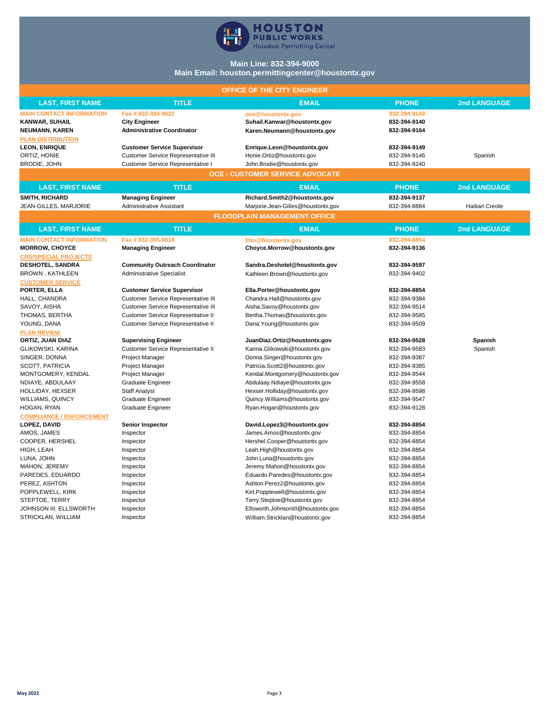

## **Main Line: 832-394-9000 Main Email: houston.permittingcenter@houstontx.gov**

| OFFICE OF THE CITY ENGINEER     |                                            |                                        |              |                       |  |
|---------------------------------|--------------------------------------------|----------------------------------------|--------------|-----------------------|--|
| <b>LAST, FIRST NAME</b>         | <b>TITLE</b>                               | <b>EMAIL</b>                           | <b>PHONE</b> | <b>2nd LANGUAGE</b>   |  |
| <b>MAIN CONTACT INFORMATION</b> | Fax #832-394-9622                          | oce@houstontx.gov                      | 832.394.9149 |                       |  |
| <b>KANWAR, SUHAIL</b>           | <b>City Engineer</b>                       | Suhail.Kanwar@houstontx.gov            | 832-394-9140 |                       |  |
| <b>NEUMANN, KAREN</b>           | <b>Administrative Coordinator</b>          | Karen.Neumann@houstontx.gov            | 832-394-9164 |                       |  |
| <b>PLAN DISTRIBUTION</b>        |                                            |                                        |              |                       |  |
| <b>LEON, ENRIQUE</b>            | <b>Customer Service Supervisor</b>         | Enrique.Leon@houstontx.gov             | 832-394-9149 |                       |  |
| ORTIZ, HONIE                    | <b>Customer Service Representative III</b> | Honie.Ortiz@houstontx.gov              | 832-394-9146 | Spanish               |  |
| <b>BRODIE, JOHN</b>             | Customer Service Representative I          | John.Brodie@houstontx.gov              | 832-394-9240 |                       |  |
|                                 |                                            | <b>OCE - CUSTOMER SERVICE ADVOCATE</b> |              |                       |  |
| <b>LAST, FIRST NAME</b>         | <b>TITLE</b>                               | <b>EMAIL</b>                           | <b>PHONE</b> | <b>2nd LANGUAGE</b>   |  |
| <b>SMITH, RICHARD</b>           | <b>Managing Engineer</b>                   | Richard.Smith2@houstontx.gov           | 832-394-9137 |                       |  |
| JEAN-GILLES, MARJORIE           | Administrative Assistant                   | Marjorie.Jean-Gilles@houstontx.gov     | 832-394-8884 | <b>Haitian Creole</b> |  |
|                                 |                                            | <b>FLOODPLAIN MANAGEMENT OFFICE</b>    |              |                       |  |
| <b>LAST, FIRST NAME</b>         | <b>TITLE</b>                               | <b>EMAIL</b>                           | <b>PHONE</b> | <b>2nd LANGUAGE</b>   |  |
| <b>MAIN CONTACT INFORMATION</b> | Fax #832-395-9618                          | fmo@houstontx.gov                      | 832-394-8854 |                       |  |
| <b>MORROW, CHOYCE</b>           | <b>Managing Engineer</b>                   | Choyce.Morrow@houstontx.gov            | 832-394-9136 |                       |  |
| <b>CRS/SPECIAL PROJECTS</b>     |                                            |                                        |              |                       |  |
| <b>DESHOTEL, SANDRA</b>         | <b>Community Outreach Coordinator</b>      | Sandra.Deshotel@houstontx.gov          | 832-394-9597 |                       |  |
| BROWN, KATHLEEN                 | <b>Administrative Specialist</b>           | Kathleen.Brown@houstontx.gov           | 832-394-9402 |                       |  |
| <b>CUSTOMER SERVICE</b>         |                                            |                                        |              |                       |  |
| PORTER, ELLA                    | <b>Customer Service Supervisor</b>         | Ella.Porter@houstontx.gov              | 832-394-8854 |                       |  |
| HALL, CHANDRA                   | Customer Service Representative III        | Chandra.Hall@houstontx.gov             | 832-394-9384 |                       |  |
| SAVOY, AISHA                    | Customer Service Representative III        | Aisha.Savoy@houstontx.gov              | 832-394-9514 |                       |  |
| THOMAS, BERTHA                  | Customer Service Representative II         | Bertha.Thomas@houstontx.gov            | 832-394-9585 |                       |  |
| YOUNG, DANA                     | Customer Service Representative II         | Dana. Young@houstontx.gov              | 832-394-9509 |                       |  |
| <b>PLAN REVIEW</b>              |                                            |                                        |              |                       |  |
| ORTIZ, JUAN DIAZ                | <b>Supervising Engineer</b>                | JuanDiaz.Ortiz@houstontx.gov           | 832-394-9528 | Spanish               |  |
| GLIKOWSKI, KARINA               | Customer Service Representative II         | Karina. Glikowski@houstontx.gov        | 832-394-9583 | Spanish               |  |
| SINGER, DONNA                   | Project Manager                            | Donna.Singer@houstontx.gov             | 832-394-9387 |                       |  |
| SCOTT, PATRICIA                 | Project Manager                            | Patricia.Scott2@houstontx.gov          | 832-394-9385 |                       |  |
| MONTGOMERY, KENDAL              | Project Manager                            | Kendal.Montgomery@houstontx.gov        | 832-394-9544 |                       |  |
| NDIAYE, ABDULAAY                | <b>Graduate Engineer</b>                   | Abdulaay.Ndiaye@houstontx.gov          | 832-394-9558 |                       |  |
| HOLLIDAY, HEXSER                | <b>Staff Analyst</b>                       | Hexser.Holliday@houstontx.gov          | 832-394-9598 |                       |  |
| <b>WILLIAMS, QUINCY</b>         | <b>Graduate Engineer</b>                   | Quincy. Williams@houstontx.gov         | 832-394-9547 |                       |  |
| HOGAN, RYAN                     | <b>Graduate Engineer</b>                   | Ryan.Hogan@houstontx.gov               | 832-394-9128 |                       |  |
| <b>COMPLIANCE / ENFORCEMENT</b> |                                            |                                        |              |                       |  |
| LOPEZ, DAVID                    | <b>Senior Inspector</b>                    | David.Lopez3@houstontx.gov             | 832-394-8854 |                       |  |
| AMOS, JAMES                     | Inspector                                  | James.Amos@houstontx.gov               | 832-394-8854 |                       |  |
| COOPER, HERSHEL                 | Inspector                                  | Hershel.Cooper@houstontx.gov           | 832-394-8854 |                       |  |
| HIGH, LEAH                      | Inspector                                  | Leah.High@houstontx.gov                | 832-394-8854 |                       |  |
| LUNA, JOHN                      | Inspector                                  | John.Luna@houstontx.gov                | 832-394-8854 |                       |  |
| MAHON, JEREMY                   | Inspector                                  | Jeremy.Mahon@houstontx.gov             | 832-394-8854 |                       |  |
| PAREDES, EDUARDO                | Inspector                                  | Eduardo.Paredes@houstontx.gov          | 832-394-8854 |                       |  |
| PEREZ, ASHTON                   | Inspector                                  | Ashton.Perez2@houstontx.gov            | 832-394-8854 |                       |  |
| POPPLEWELL, KIRK                | Inspector                                  | Kirt.Popplewell@houstontx.gov          | 832-394-8854 |                       |  |
| STEPTOE, TERRY                  | Inspector                                  | Terry.Steptoe@houstontx.gov            | 832-394-8854 |                       |  |
| JOHNSON III, ELLSWORTH          | Inspector                                  | Ellsworth.JohnsonIII@houstontx.gov     | 832-394-8854 |                       |  |
| STRICKLAN, WILLIAM              | Inspector                                  | William.Stricklan@houstontx.gov        | 832-394-8854 |                       |  |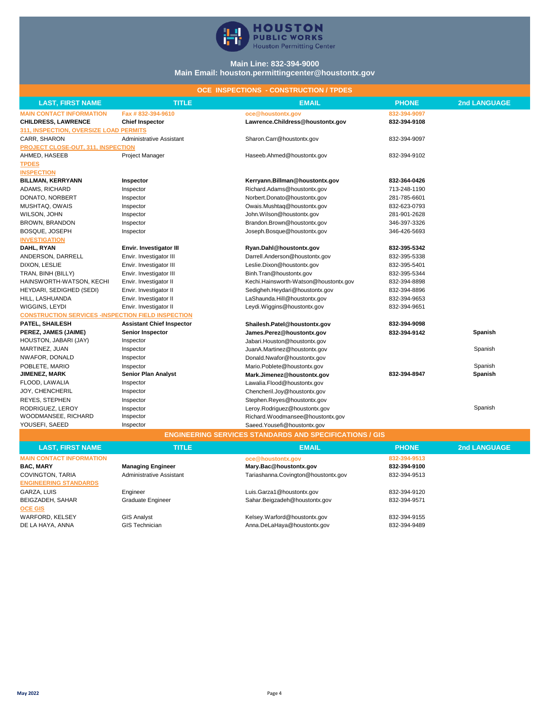

## **Main Line: 832-394-9000 Main Email: houston.permittingcenter@houstontx.gov**

## **OCE INSPECTIONS - CONSTRUCTION / TPDES**

| <b>LAST, FIRST NAME</b>                                        | <b>TITLE</b>                     | <b>EMAIL</b>                          | <b>PHONE</b> | <b>2nd LANGUAGE</b> |  |
|----------------------------------------------------------------|----------------------------------|---------------------------------------|--------------|---------------------|--|
| <b>MAIN CONTACT INFORMATION</b>                                | Fax #832-394-9610                | oce@houstontx.gov                     | 832-394-9097 |                     |  |
| <b>CHILDRESS, LAWRENCE</b>                                     | <b>Chief Inspector</b>           | Lawrence.Childress@houstontx.gov      | 832-394-9108 |                     |  |
| 311, INSPECTION, OVERSIZE LOAD PERMITS                         |                                  |                                       |              |                     |  |
| CARR, SHARON                                                   | <b>Administrative Assistant</b>  | Sharon.Carr@houstontx.gov             | 832-394-9097 |                     |  |
| <b>PROJECT CLOSE-OUT, 311, INSPECTION</b>                      |                                  |                                       |              |                     |  |
| AHMED, HASEEB                                                  | Project Manager                  | Haseeb.Ahmed@houstontx.gov            | 832-394-9102 |                     |  |
| <b>TPDES</b>                                                   |                                  |                                       |              |                     |  |
| <b>INSPECTION</b>                                              |                                  |                                       |              |                     |  |
| <b>BILLMAN, KERRYANN</b>                                       | Inspector                        | Kerryann.Billman@houstontx.gov        | 832-364-0426 |                     |  |
| ADAMS, RICHARD                                                 | Inspector                        | Richard.Adams@houstontx.gov           | 713-248-1190 |                     |  |
| DONATO, NORBERT                                                | Inspector                        | Norbert.Donato@houstontx.gov          | 281-785-6601 |                     |  |
| MUSHTAQ, OWAIS                                                 | Inspector                        | Owais.Mushtaq@houstontx.gov           | 832-623-0793 |                     |  |
| WILSON, JOHN                                                   | Inspector                        | John. Wilson@houstontx.gov            | 281-901-2628 |                     |  |
| BROWN, BRANDON                                                 | Inspector                        | Brandon.Brown@houstontx.gov           | 346-397-3326 |                     |  |
| <b>BOSQUE, JOSEPH</b>                                          | Inspector                        | Joseph.Bosque@houstontx.gov           | 346-426-5693 |                     |  |
| <b>INVESTIGATION</b>                                           |                                  |                                       |              |                     |  |
| DAHL, RYAN                                                     | Envir. Investigator III          | Ryan.Dahl@houstontx.gov               | 832-395-5342 |                     |  |
| ANDERSON, DARRELL                                              | Envir. Investigator III          | Darrell.Anderson@houstontx.gov        | 832-395-5338 |                     |  |
| DIXON, LESLIE                                                  | Envir. Investigator III          | Leslie.Dixon@houstontx.gov            | 832-395-5401 |                     |  |
| TRAN, BINH (BILLY)                                             | Envir. Investigator III          | Binh.Tran@houstontx.gov               | 832-395-5344 |                     |  |
| HAINSWORTH-WATSON, KECHI                                       | Envir. Investigator II           | Kechi.Hainsworth-Watson@houstontx.gov | 832-394-8898 |                     |  |
| HEYDARI, SEDIGHED (SEDI)                                       | Envir. Investigator II           | Sedigheh.Heydari@houstontx.gov        | 832-394-8896 |                     |  |
| HILL, LASHUANDA                                                | Envir. Investigator II           | LaShaunda.Hill@houstontx.gov          | 832-394-9653 |                     |  |
| WIGGINS, LEYDI                                                 | Envir. Investigator II           | Leydi.Wiggins@houstontx.gov           | 832-394-9651 |                     |  |
| <b>CONSTRUCTION SERVICES -INSPECTION FIELD INSPECTION</b>      |                                  |                                       |              |                     |  |
| PATEL, SHAILESH                                                | <b>Assistant Chief Inspector</b> | Shailesh.Patel@houstontx.gov          | 832-394-9098 |                     |  |
| PEREZ, JAMES (JAIME)                                           | Senior Inspector                 | James.Perez@houstontx.gov             | 832-394-9142 | Spanish             |  |
| HOUSTON, JABARI (JAY)                                          | Inspector                        | Jabari.Houston@houstontx.gov          |              |                     |  |
| MARTINEZ, JUAN                                                 | Inspector                        | JuanA.Martinez@houstontx.gov          |              | Spanish             |  |
| NWAFOR, DONALD                                                 | Inspector                        | Donald.Nwafor@houstontx.gov           |              |                     |  |
| POBLETE, MARIO                                                 | Inspector                        | Mario.Poblete@houstontx.gov           |              | Spanish             |  |
| <b>JIMENEZ, MARK</b>                                           | <b>Senior Plan Analyst</b>       | Mark.Jimenez@houstontx.gov            | 832-394-8947 | Spanish             |  |
| FLOOD, LAWALIA                                                 | Inspector                        | Lawalia.Flood@houstontx.gov           |              |                     |  |
| JOY, CHENCHERIL                                                | Inspector                        | Chencheril.Joy@houstontx.gov          |              |                     |  |
| REYES, STEPHEN                                                 | Inspector                        | Stephen.Reyes@houstontx.gov           |              |                     |  |
| RODRIGUEZ, LEROY                                               | Inspector                        | Leroy.Rodriguez@houstontx.gov         |              | Spanish             |  |
| WOODMANSEE, RICHARD                                            | Inspector                        | Richard.Woodmansee@houstontx.gov      |              |                     |  |
| YOUSEFI, SAEED                                                 | Inspector                        | Saeed. Yousefi@houstontx.gov          |              |                     |  |
| <b>ENGINEERING SERVICES STANDARDS AND SPECIFICATIONS / GIS</b> |                                  |                                       |              |                     |  |

| <b>LAST, FIRST NAME</b>         | <b>TITLE</b>             | <b>EMAIL</b>                        | <b>PHONE</b> | 2nd LANGUAGE |
|---------------------------------|--------------------------|-------------------------------------|--------------|--------------|
| <b>MAIN CONTACT INFORMATION</b> |                          | oce@houstontx.gov                   | 832-394-9513 |              |
| <b>BAC, MARY</b>                | <b>Managing Engineer</b> | Mary.Bac@houstontx.gov              | 832-394-9100 |              |
| COVINGTON, TARIA                | Administrative Assistant | Tariashanna.Covington@houstontx.gov | 832-394-9513 |              |
| <b>ENGINEERING STANDARDS</b>    |                          |                                     |              |              |
| GARZA, LUIS                     | Engineer                 | Luis.Garza1@houstontx.gov           | 832-394-9120 |              |
| BEIGZADEH, SAHAR                | Graduate Engineer        | Sahar.Beigzadeh@houstontx.gov       | 832-394-9571 |              |
| <b>OCE GIS</b>                  |                          |                                     |              |              |
| WARFORD, KELSEY                 | <b>GIS Analyst</b>       | Kelsey.Warford@houstontx.gov        | 832-394-9155 |              |
| DE LA HAYA, ANNA                | <b>GIS Technician</b>    | Anna.DeLaHaya@houstontx.gov         | 832-394-9489 |              |
|                                 |                          |                                     |              |              |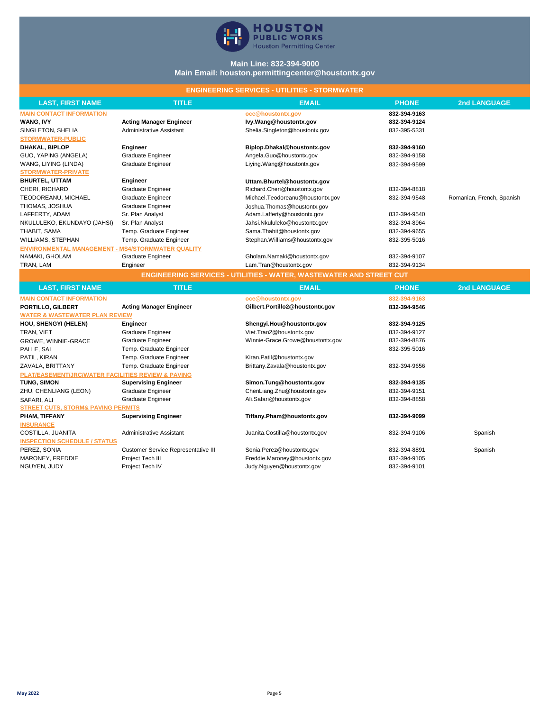

## **Main Line: 832-394-9000 Main Email: houston.permittingcenter@houstontx.gov**

## **ENGINEERING SERVICES - UTILITIES - STORMWATER**

| <b>LAST, FIRST NAME</b>                            | <b>TITLE</b>                               | <b>EMAIL</b>                                                               | <b>PHONE</b>                 | 2nd LANGUAGE              |
|----------------------------------------------------|--------------------------------------------|----------------------------------------------------------------------------|------------------------------|---------------------------|
| <b>MAIN CONTACT INFORMATION</b>                    |                                            | oce@houstontx.gov                                                          | 832-394-9163                 |                           |
| <b>WANG, IVY</b>                                   | <b>Acting Manager Engineer</b>             | lvy.Wang@houstontx.gov                                                     | 832-394-9124                 |                           |
| SINGLETON, SHELIA                                  | <b>Administrative Assistant</b>            | Shelia.Singleton@houstontx.gov                                             | 832-395-5331                 |                           |
| <b>STORMWATER-PUBLIC</b>                           |                                            |                                                                            |                              |                           |
| DHAKAL, BIPLOP                                     | Engineer                                   | Biplop.Dhakal@houstontx.gov                                                | 832-394-9160                 |                           |
| GUO, YAPING (ANGELA)                               | <b>Graduate Engineer</b>                   | Angela.Guo@houstontx.gov                                                   | 832-394-9158                 |                           |
| WANG, LIYING (LINDA)                               | <b>Graduate Engineer</b>                   | Liying.Wang@houstontx.gov                                                  | 832-394-9599                 |                           |
| <b>STORMWATER-PRIVATE</b>                          |                                            |                                                                            |                              |                           |
| <b>BHURTEL, UTTAM</b>                              | Engineer                                   | Uttam.Bhurtel@houstontx.gov                                                |                              |                           |
| CHERI, RICHARD                                     | <b>Graduate Engineer</b>                   | Richard.Cheri@houstontx.gov                                                | 832-394-8818                 |                           |
| TEODOREANU, MICHAEL                                | Graduate Engineer                          | Michael.Teodoreanu@houstontx.gov                                           | 832-394-9548                 | Romanian, French, Spanish |
| THOMAS, JOSHUA                                     | Graduate Engineer                          | Joshua. Thomas@houstontx.gov                                               |                              |                           |
| LAFFERTY, ADAM                                     | Sr. Plan Analyst                           | Adam.Lafferty@houstontx.gov                                                | 832-394-9540                 |                           |
| NKULULEKO, EKUNDAYO (JAHSI)                        | Sr. Plan Analyst                           | Jahsi.Nkululeko@houstontx.gov                                              | 832-394-8964                 |                           |
| THABIT, SAMA                                       | Temp. Graduate Engineer                    | Sama. Thabit@houstontx.gov                                                 | 832-394-9655                 |                           |
| <b>WILLIAMS, STEPHAN</b>                           | Temp. Graduate Engineer                    | Stephan. Williams@houstontx.gov                                            | 832-395-5016                 |                           |
| ENVIRONMENTAL MANAGEMENT - MS4/STORMWATER QUALITY  |                                            |                                                                            |                              |                           |
| NAMAKI, GHOLAM                                     | Graduate Engineer                          | Gholam.Namaki@houstontx.gov                                                | 832-394-9107                 |                           |
| TRAN, LAM                                          | Engineer                                   | Lam.Tran@houstontx.gov                                                     | 832-394-9134                 |                           |
|                                                    |                                            | <b>ENGINEERING SERVICES - UTILITIES - WATER, WASTEWATER AND STREET CUT</b> |                              |                           |
| <b>LAST, FIRST NAME</b>                            | <b>TITLE</b>                               | <b>EMAIL</b>                                                               | <b>PHONE</b>                 | <b>2nd LANGUAGE</b>       |
| <b>MAIN CONTACT INFORMATION</b>                    |                                            | oce@houstontx.gov                                                          | 832-394-9163                 |                           |
| PORTILLO, GILBERT                                  | <b>Acting Manager Engineer</b>             | Gilbert.Portillo2@houstontx.gov                                            | 832-394-9546                 |                           |
| <b>WATER &amp; WASTEWATER PLAN REVIEW</b>          |                                            |                                                                            |                              |                           |
| <b>HOU, SHENGYI (HELEN)</b>                        | Engineer                                   | Shengyi.Hou@houstontx.gov                                                  | 832-394-9125                 |                           |
| TRAN, VIET                                         | Graduate Engineer                          | Viet.Tran2@houstontx.gov                                                   | 832-394-9127                 |                           |
| GROWE, WINNIE-GRACE                                | Graduate Engineer                          | Winnie-Grace.Growe@houstontx.gov                                           | 832-394-8876                 |                           |
| PALLE, SAI                                         | Temp. Graduate Engineer                    |                                                                            | 832-395-5016                 |                           |
| PATIL, KIRAN                                       | Temp. Graduate Engineer                    | Kiran.Patil@houstontx.gov                                                  |                              |                           |
| ZAVALA, BRITTANY                                   | Temp. Graduate Engineer                    | Brittany.Zavala@houstontx.gov                                              | 832-394-9656                 |                           |
| PLAT/EASEMENT/JRC/WATER FACILITIES REVIEW & PAVING |                                            |                                                                            |                              |                           |
| TUNG, SIMON                                        |                                            |                                                                            |                              |                           |
|                                                    | <b>Supervising Engineer</b>                | Simon.Tung@houstontx.gov                                                   | 832-394-9135                 |                           |
| ZHU, CHENLIANG (LEON)                              | <b>Graduate Engineer</b>                   | ChenLiang.Zhu@houstontx.gov                                                | 832-394-9151                 |                           |
| SAFARI, ALI                                        | <b>Graduate Engineer</b>                   | Ali.Safari@houstontx.gov                                                   | 832-394-8858                 |                           |
| <b>STREET CUTS, STORM&amp; PAVING PERMITS</b>      |                                            |                                                                            |                              |                           |
| PHAM, TIFFANY                                      | <b>Supervising Engineer</b>                | Tiffany.Pham@houstontx.gov                                                 | 832-394-9099                 |                           |
| <b>INSURANCE</b>                                   |                                            |                                                                            |                              |                           |
| COSTILLA, JUANITA                                  | <b>Administrative Assistant</b>            | Juanita.Costilla@houstontx.gov                                             | 832-394-9106                 | Spanish                   |
| <b>INSPECTION SCHEDULE / STATUS</b>                |                                            |                                                                            |                              |                           |
| PEREZ, SONIA                                       | <b>Customer Service Representative III</b> | Sonia.Perez@houstontx.gov                                                  | 832-394-8891                 | Spanish                   |
| MARONEY, FREDDIE<br>NGUYEN, JUDY                   | Project Tech III<br>Project Tech IV        | Freddie.Maroney@houstontx.gov<br>Judy.Nguyen@houstontx.gov                 | 832-394-9105<br>832-394-9101 |                           |